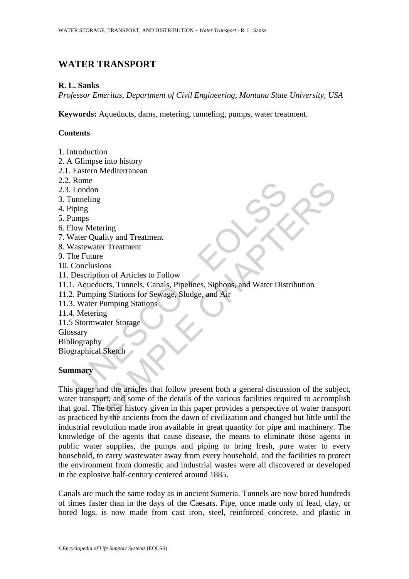# **WATER TRANSPORT**

### **R. L. Sanks**

*Professor Emeritus, Department of Civil Engineering, Montana State University, USA* 

**Keywords:** Aqueducts, dams, metering, tunneling, pumps, water treatment.

## **Contents**

- 1. Introduction
- 2. A Glimpse into history
- 2.1. Eastern Mediterranean
- 2.2. Rome
- 2.3. London
- 3. Tunneling
- 4. Piping
- 5. Pumps
- 6. Flow Metering
- 7. Water Quality and Treatment
- 8. Wastewater Treatment
- 9. The Future
- 10. Conclusions
- 11. Description of Articles to Follow
- 11.1. Aqueducts, Tunnels, Canals, Pipelines, Siphons, and Water Distribution
- 11.2. Pumping Stations for Sewage, Sludge, and Air
- 11.3. Water Pumping Stations
- 11.4. Metering
- 11.5 Stormwater Storage
- Glossary

Bibliography Biographical Sketch

### **Summary**

Nous<br>
London<br>
London<br>
unneling<br>
iping<br>
umps<br>
low Metering<br>
varse Quality and Treatment<br>
Vastewater Treatment<br>
Asstewater Treatment<br>
De Future<br>
Conclusions<br>
Description of Articles to Follow<br>
D. Aqueducts, Tunnels, Canals, The street<br>
recenting<br>
uality and Treatment<br>
tater Treatment<br>
sions<br>
sions<br>
sions of Articles to Follow<br>
ducts, Tunnels, Canals, Pipelines, Siphons, and Water Distribution<br>
in Pumping Stations<br>
The bright stations<br>
water S This paper and the articles that follow present both a general discussion of the subject, water transport, and some of the details of the various facilities required to accomplish that goal. The brief history given in this paper provides a perspective of water transport as practiced by the ancients from the dawn of civilization and changed but little until the industrial revolution made iron available in great quantity for pipe and machinery. The knowledge of the agents that cause disease, the means to eliminate those agents in public water supplies, the pumps and piping to bring fresh, pure water to every household, to carry wastewater away from every household, and the facilities to protect the environment from domestic and industrial wastes were all discovered or developed in the explosive half-century centered around 1885.

Canals are much the same today as in ancient Sumeria. Tunnels are now bored hundreds of times faster than in the days of the Caesars. Pipe, once made only of lead, clay, or bored logs, is now made from cast iron, steel, reinforced concrete, and plastic in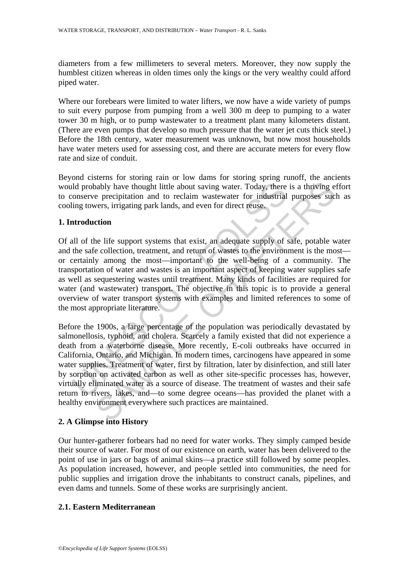diameters from a few millimeters to several meters. Moreover, they now supply the humblest citizen whereas in olden times only the kings or the very wealthy could afford piped water.

Where our forebears were limited to water lifters, we now have a wide variety of pumps to suit every purpose from pumping from a well 300 m deep to pumping to a water tower 30 m high, or to pump wastewater to a treatment plant many kilometers distant. (There are even pumps that develop so much pressure that the water jet cuts thick steel.) Before the 18th century, water measurement was unknown, but now most households have water meters used for assessing cost, and there are accurate meters for every flow rate and size of conduit.

Beyond cisterns for storing rain or low dams for storing spring runoff, the ancients would probably have thought little about saving water. Today, there is a thriving effort to conserve precipitation and to reclaim wastewater for industrial purposes such as cooling towers, irrigating park lands, and even for direct reuse.

## **1. Introduction**

ld probably have thought little about saving water. Today, there conserve precipitation and to reclaim wastewater for industrial ing towers, irrigating park lands, and even for direct reuse.<br> **All of the life support syste** Of all of the life support systems that exist, an adequate supply of safe, potable water and the safe collection, treatment, and return of wastes to the environment is the most or certainly among the most—important to the well-being of a community. The transportation of water and wastes is an important aspect of keeping water supplies safe as well as sequestering wastes until treatment. Many kinds of facilities are required for water (and wastewater) transport. The objective in this topic is to provide a general overview of water transport systems with examples and limited references to some of the most appropriate literature.

Show though little about saving water. Today, there is a thriving e<br>perceptiation and to reclaim wastewater for industrial purposes suclevers, irrigating park lands, and even for direct reuse.<br> **Consequence** expection and Before the 1900s, a large percentage of the population was periodically devastated by salmonellosis, typhoid, and cholera. Scarcely a family existed that did not experience a death from a waterborne disease. More recently, E-coli outbreaks have occurred in California, Ontario, and Michigan. In modern times, carcinogens have appeared in some water supplies. Treatment of water, first by filtration, later by disinfection, and still later by sorption on activated carbon as well as other site-specific processes has, however, virtually eliminated water as a source of disease. The treatment of wastes and their safe return to rivers, lakes, and—to some degree oceans—has provided the planet with a healthy environment everywhere such practices are maintained.

# **2. A Glimpse into History**

Our hunter-gatherer forbears had no need for water works. They simply camped beside their source of water. For most of our existence on earth, water has been delivered to the point of use in jars or bags of animal skins—a practice still followed by some peoples. As population increased, however, and people settled into communities, the need for public supplies and irrigation drove the inhabitants to construct canals, pipelines, and even dams and tunnels. Some of these works are surprisingly ancient.

### **2.1. Eastern Mediterranean**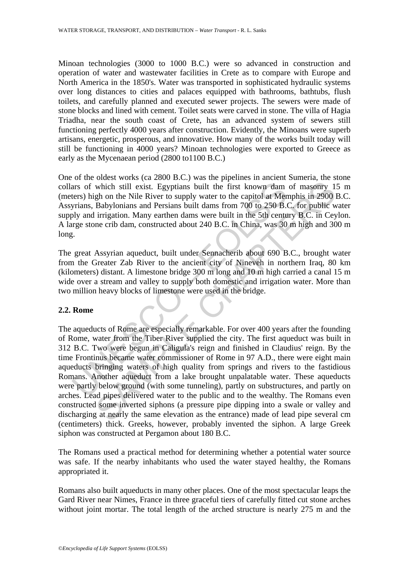Minoan technologies (3000 to 1000 B.C.) were so advanced in construction and operation of water and wastewater facilities in Crete as to compare with Europe and North America in the 1850's. Water was transported in sophisticated hydraulic systems over long distances to cities and palaces equipped with bathrooms, bathtubs, flush toilets, and carefully planned and executed sewer projects. The sewers were made of stone blocks and lined with cement. Toilet seats were carved in stone. The villa of Hagia Triadha, near the south coast of Crete, has an advanced system of sewers still functioning perfectly 4000 years after construction. Evidently, the Minoans were superb artisans, energetic, prosperous, and innovative. How many of the works built today will still be functioning in 4000 years? Minoan technologies were exported to Greece as early as the Mycenaean period (2800 to1100 B.C.)

One of the oldest works (ca 2800 B.C.) was the pipelines in ancient Sumeria, the stone collars of which still exist. Egyptians built the first known dam of masonry 15 m (meters) high on the Nile River to supply water to the capitol at Memphis in 2900 B.C. Assyrians, Babylonians and Persians built dams from 700 to 250 B.C. for public water supply and irrigation. Many earthen dams were built in the 5th century B.C. in Ceylon. A large stone crib dam, constructed about 240 B.C. in China, was 30 m high and 300 m long.

The great Assyrian aqueduct, built under Sennacherib about 690 B.C., brought water from the Greater Zab River to the ancient city of Nineveh in northern Iraq, 80 km (kilometers) distant. A limestone bridge 300 m long and 10 m high carried a canal 15 m wide over a stream and valley to supply both domestic and irrigation water. More than two million heavy blocks of limestone were used in the bridge.

# **2.2. Rome**

ars of which still exist. Egyptians built the first known dam<br>ters) high on the Nile River to supply water to the capitol at Men<br>yrians, Babylonians and Persians built dams from 700 to 250 B.0<br>y and irrigation. Many earthe which still exist. Egyptians built the first known dam of masonry 1.<br>
gh on the Nile River to supply water to the capitol at Memphis in 2900 Babylonians and Persians built dam from 700 to 250 B.C. for public was<br>
Brabyloni The aqueducts of Rome are especially remarkable. For over 400 years after the founding of Rome, water from the Tiber River supplied the city. The first aqueduct was built in 312 B.C. Two were begun in Caligula's reign and finished in Claudius' reign. By the time Frontinus became water commissioner of Rome in 97 A.D., there were eight main aqueducts bringing waters of high quality from springs and rivers to the fastidious Romans. Another aqueduct from a lake brought unpalatable water. These aqueducts were partly below ground (with some tunneling), partly on substructures, and partly on arches. Lead pipes delivered water to the public and to the wealthy. The Romans even constructed some inverted siphons (a pressure pipe dipping into a swale or valley and discharging at nearly the same elevation as the entrance) made of lead pipe several cm (centimeters) thick. Greeks, however, probably invented the siphon. A large Greek siphon was constructed at Pergamon about 180 B.C.

The Romans used a practical method for determining whether a potential water source was safe. If the nearby inhabitants who used the water stayed healthy, the Romans appropriated it.

Romans also built aqueducts in many other places. One of the most spectacular leaps the Gard River near Nimes, France in three graceful tiers of carefully fitted cut stone arches without joint mortar. The total length of the arched structure is nearly 275 m and the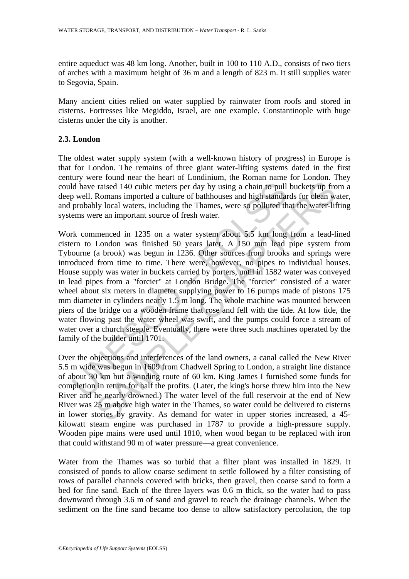entire aqueduct was 48 km long. Another, built in 100 to 110 A.D., consists of two tiers of arches with a maximum height of 36 m and a length of 823 m. It still supplies water to Segovia, Spain.

Many ancient cities relied on water supplied by rainwater from roofs and stored in cisterns. Fortresses like Megiddo, Israel, are one example. Constantinople with huge cisterns under the city is another.

## **2.3. London**

The oldest water supply system (with a well-known history of progress) in Europe is that for London. The remains of three giant water-lifting systems dated in the first century were found near the heart of Londinium, the Roman name for London. They could have raised 140 cubic meters per day by using a chain to pull buckets up from a deep well. Romans imported a culture of bathhouses and high standards for clean water, and probably local waters, including the Thames, were so polluted that the water-lifting systems were an important source of fresh water.

Id have raised 140 cubic meters per day by using a chain to pull<br>
b well. Romans imported a culture of bathhouses and high standar<br>
probably local waters, including the Thames, were so polluted thems<br>
were an important sou raised 140 cubic meters per day by using a chain to pull buckets up frequencine raised 140 cubic meters per day by using a chain to pull buckets up frequences and high standards for elean will y local waters, including the Work commenced in 1235 on a water system about 5.5 km long from a lead-lined cistern to London was finished 50 years later. A 150 mm lead pipe system from Tybourne (a brook) was begun in 1236. Other sources from brooks and springs were introduced from time to time. There were, however, no pipes to individual houses. House supply was water in buckets carried by porters, until in 1582 water was conveyed in lead pipes from a "forcier" at London Bridge. The "forcier" consisted of a water wheel about six meters in diameter supplying power to 16 pumps made of pistons 175 mm diameter in cylinders nearly 1.5 m long. The whole machine was mounted between piers of the bridge on a wooden frame that rose and fell with the tide. At low tide, the water flowing past the water wheel was swift, and the pumps could force a stream of water over a church steeple. Eventually, there were three such machines operated by the family of the builder until 1701.

Over the objections and interferences of the land owners, a canal called the New River 5.5 m wide was begun in 1609 from Chadwell Spring to London, a straight line distance of about 30 km but a winding route of 60 km. King James I furnished some funds for completion in return for half the profits. (Later, the king's horse threw him into the New River and he nearly drowned.) The water level of the full reservoir at the end of New River was 25 m above high water in the Thames, so water could be delivered to cisterns in lower stories by gravity. As demand for water in upper stories increased, a 45 kilowatt steam engine was purchased in 1787 to provide a high-pressure supply. Wooden pipe mains were used until 1810, when wood began to be replaced with iron that could withstand 90 m of water pressure—a great convenience.

Water from the Thames was so turbid that a filter plant was installed in 1829. It consisted of ponds to allow coarse sediment to settle followed by a filter consisting of rows of parallel channels covered with bricks, then gravel, then coarse sand to form a bed for fine sand. Each of the three layers was 0.6 m thick, so the water had to pass downward through 3.6 m of sand and gravel to reach the drainage channels. When the sediment on the fine sand became too dense to allow satisfactory percolation, the top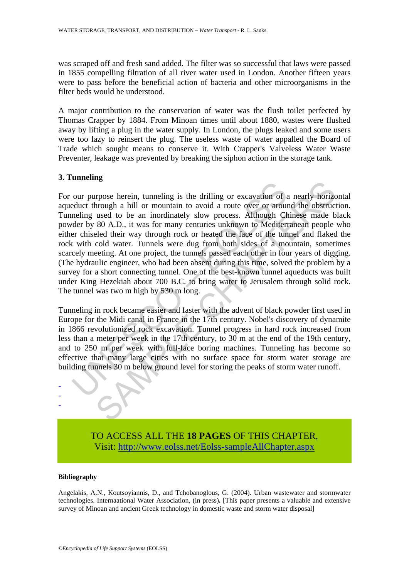was scraped off and fresh sand added. The filter was so successful that laws were passed in 1855 compelling filtration of all river water used in London. Another fifteen years were to pass before the beneficial action of bacteria and other microorganisms in the filter beds would be understood.

A major contribution to the conservation of water was the flush toilet perfected by Thomas Crapper by 1884. From Minoan times until about 1880, wastes were flushed away by lifting a plug in the water supply. In London, the plugs leaked and some users were too lazy to reinsert the plug. The useless waste of water appalled the Board of Trade which sought means to conserve it. With Crapper's Valveless Water Waste Preventer, leakage was prevented by breaking the siphon action in the storage tank.

### **3. Tunneling**

our purpose herein, tunneling is the drilling or excavation of a<br>educt through a hill or mountain to avoid a route over or arous<br>neling used to be an inordinately slow process. Although C<br>der by 80 A.D., it was for many ce Framework herein, tunneling is the drilling or excavation of a nearly horizon-<br>through a hill or mountain to avoid a route over or around the obstructured to be an inordinately slow process. Although Chinese made b 80 A.D For our purpose herein, tunneling is the drilling or excavation of a nearly horizontal aqueduct through a hill or mountain to avoid a route over or around the obstruction. Tunneling used to be an inordinately slow process. Although Chinese made black powder by 80 A.D., it was for many centuries unknown to Mediterranean people who either chiseled their way through rock or heated the face of the tunnel and flaked the rock with cold water. Tunnels were dug from both sides of a mountain, sometimes scarcely meeting. At one project, the tunnels passed each other in four years of digging. (The hydraulic engineer, who had been absent during this time, solved the problem by a survey for a short connecting tunnel. One of the best-known tunnel aqueducts was built under King Hezekiah about 700 B.C. to bring water to Jerusalem through solid rock. The tunnel was two m high by 530 m long.

Tunneling in rock became easier and faster with the advent of black powder first used in Europe for the Midi canal in France in the 17th century. Nobel's discovery of dynamite in 1866 revolutionized rock excavation. Tunnel progress in hard rock increased from less than a meter per week in the 17th century, to 30 m at the end of the 19th century, and to 250 m per week with full-face boring machines. Tunneling has become so effective that many large cities with no surface space for storm water storage are building tunnels 30 m below ground level for storing the peaks of storm water runoff.



### **Bibliography**

- - -

Angelakis, A.N., Koutsoyiannis, D., and Tchobanoglous, G. (2004). Urban wastewater and stormwater technologies. Internaational Water Association, (in press)**.** [This paper presents a valuable and extensive survey of Minoan and ancient Greek technology in domestic waste and storm water disposal]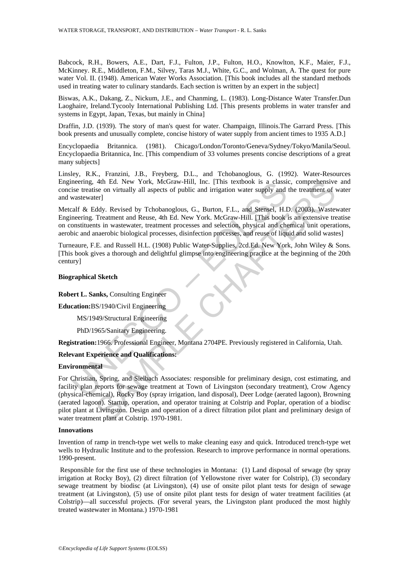Babcock, R.H., Bowers, A.E., Dart, F.J., Fulton, J.P., Fulton, H.O., Knowlton, K.F., Maier, F.J., McKinney. R.E., Middleton, F.M., Silvey, Taras M.J., White, G.C., and Wolman, A. The quest for pure water Vol. II. (1948). American Water Works Association. [This book includes all the standard methods used in treating water to culinary standards. Each section is written by an expert in the subject]

Biswas, A.K., Dakang, Z., Nickum, J.E., and Chanming, L. (1983). Long-Distance Water Transfer.Dun Laoghaire, Ireland.Tycooly International Publishing Ltd. [This presents problems in water transfer and systems in Egypt, Japan, Texas, but mainly in China]

Draffin, J.D. (1939). The story of man's quest for water. Champaign, Illinois.The Garrard Press. [This book presents and unusually complete, concise history of water supply from ancient times to 1935 A.D.]

Encyclopaedia Britannica. (1981). Chicago/London/Toronto/Geneva/Sydney/Tokyo/Manila/Seoul. Encyclopaedia Britannica, Inc. [This compendium of 33 volumes presents concise descriptions of a great many subjects]

Linsley, R.K., Franzini, J.B., Freyberg, D.L., and Tchobanoglous, G. (1992). Water-Resources Engineering, 4th Ed. New York, McGraw-Hill, Inc. [This textbook is a classic, comprehensive and concise treatise on virtually all aspects of public and irrigation water supply and the treatment of water and wastewater]

meering, 4th Ed. New York, McGraw-Hill, Inc. [This textbook is a classic<br>ise treatise on virtually all aspects of public and irrigation water supply and<br>vastewater]<br>alf & Eddy. Revised by Tchobanoglous, G., Burton, F.L., a Metcalf & Eddy. Revised by Tchobanoglous, G., Burton, F.L., and Stensel, H.D. (2003). Wastewater Engineering. Treatment and Reuse, 4th Ed. New York. McGraw-Hill. [This book is an extensive treatise on constituents in wastewater, treatment processes and selection, physical and chemical unit operations, aerobic and anaerobic biological processes, disinfection processes, and reuse of liquid and solid wastes]

Turneaure, F.E. and Russell H.L. (1908) Public Water-Supplies, 2cd.Ed. New York, John Wiley & Sons. [This book gives a thorough and delightful glimpse into engineering practice at the beginning of the 20th century]

#### **Biographical Sketch**

**Robert L. Sanks,** Consulting Engineer

**Education:**BS/1940/Civil Engineering

MS/1949/Structural Engineering

PhD/1965/Sanitary Engineering.

**Registration:**1966. Professional Engineer, Montana 2704PE. Previously registered in California, Utah.

### **Relevant Experience and Qualifications:**

### **Environmental**

4th Ed. New York, McGraw-Hill, Inc. [This textbook is a classic, comprehensive<br>ise on virtually all aspects of public and irrigation water supply and the treatment of v<br>icel<br>of ddy. Revised by Tchobanoglous, G., Burton, F. For Christian, Spring, and Sielbach Associates: responsible for preliminary design, cost estimating, and facility plan reports for sewage treatment at Town of Livingston (secondary treatment), Crow Agency (physical-chemical), Rocky Boy (spray irrigation, land disposal), Deer Lodge (aerated lagoon), Browning (aerated lagoon). Startup, operation, and operator training at Colstrip and Poplar, operation of a biodisc pilot plant at Livingston. Design and operation of a direct filtration pilot plant and preliminary design of water treatment plant at Colstrip. 1970-1981.

#### **Innovations**

Invention of ramp in trench-type wet wells to make cleaning easy and quick. Introduced trench-type wet wells to Hydraulic Institute and to the profession. Research to improve performance in normal operations. 1990-present.

 Responsible for the first use of these technologies in Montana: (1) Land disposal of sewage (by spray irrigation at Rocky Boy), (2) direct filtration (of Yellowstone river water for Colstrip), (3) secondary sewage treatment by biodisc (at Livingston), (4) use of onsite pilot plant tests for design of sewage treatment (at Livingston), (5) use of onsite pilot plant tests for design of water treatment facilities (at Colstrip)—all successful projects. (For several years, the Livingston plant produced the most highly treated wastewater in Montana.) 1970-1981